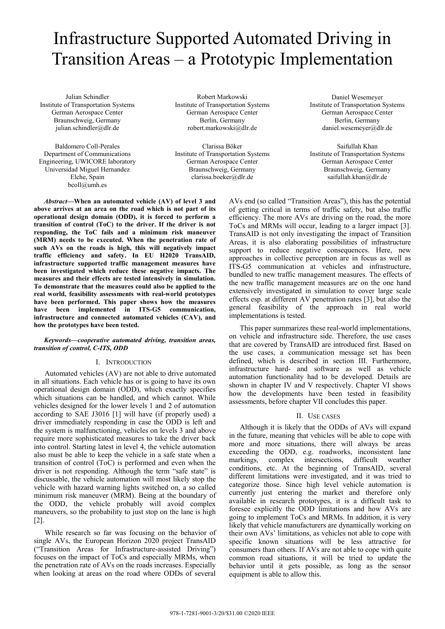# Infrastructure Supported Automated Driving in Transition Areas – a Prototypic Implementation

Julian Schindler Institute of Transportation Systems German Aerospace Center Braunschweig, Germany julian.schindler@dlr.de

Baldomero Coll-Perales Department of Communications Engineering, UWICORE laboratory Universidad Miguel Hernandez Elche, Spain bcoll@umh.es

Robert Markowski Institute of Transportation Systems German Aerospace Center Berlin, Germany robert.markowski@dlr.de

Clarissa Böker Institute of Transportation Systems German Aerospace Center Braunschweig, Germany clarissa.boeker@dlr.de

*Abstract***—When an automated vehicle (AV) of level 3 and above arrives at an area on the road which is not part of its operational design domain (ODD), it is forced to perform a transition of control (ToC) to the driver. If the driver is not responding, the ToC fails and a minimum risk maneuver (MRM) needs to be executed. When the penetration rate of such AVs on the roads is high, this will negatively impact traffic efficiency and safety. In EU H2020 TransAID, infrastructure supported traffic management measures have been investigated which reduce these negative impacts. The measures and their effects are tested intensively in simulation. To demonstrate that the measures could also be applied to the real world, feasibility assessments with real-world prototypes have been performed. This paper shows how the measures have been implemented in ITS-G5 communication, infrastructure and connected automated vehicles (CAV), and how the prototypes have been tested.** 

#### *Keywords—cooperative automated driving, transition areas, transition of control, C-ITS, ODD*

# I. INTRODUCTION

Automated vehicles (AV) are not able to drive automated in all situations. Each vehicle has or is going to have its own operational design domain (ODD), which exactly specifies which situations can be handled, and which cannot. While vehicles designed for the lower levels 1 and 2 of automation according to SAE J3016 [1] will have (if properly used) a driver immediately responding in case the ODD is left and the system is malfunctioning, vehicles on levels 3 and above require more sophisticated measures to take the driver back into control. Starting latest in level 4, the vehicle automation also must be able to keep the vehicle in a safe state when a transition of control (ToC) is performed and even when the driver is not responding. Although the term "safe state" is discussable, the vehicle automation will most likely stop the vehicle with hazard warning lights switched on, a so called minimum risk maneuver (MRM). Being at the boundary of the ODD, the vehicle probably will avoid complex maneuvers, so the probability to just stop on the lane is high [2].

While research so far was focusing on the behavior of single AVs, the European Horizon 2020 project TransAID ("Transition Areas for Infrastructure-assisted Driving") focuses on the impact of ToCs and especially MRMs, when the penetration rate of AVs on the roads increases. Especially when looking at areas on the road where ODDs of several

Daniel Wesemeyer Institute of Transportation Systems German Aerospace Center Berlin, Germany daniel.wesemeyer@dlr.de

Saifullah Khan Institute of Transportation Systems German Aerospace Center Braunschweig, Germany saifullah.khan@dlr.de

AVs end (so called "Transition Areas"), this has the potential of getting critical in terms of traffic safety, but also traffic efficiency. The more AVs are driving on the road, the more ToCs and MRMs will occur, leading to a larger impact [3]. TransAID is not only investigating the impact of Transition Areas, it is also elaborating possibilities of infrastructure support to reduce negative consequences. Here, new approaches in collective perception are in focus as well as ITS-G5 communication at vehicles and infrastructure, bundled to new traffic management measures. The effects of the new traffic management measures are on the one hand extensively investigated in simulation to cover large scale effects esp. at different AV penetration rates [3], but also the general feasibility of the approach in real world implementations is tested.

This paper summarizes these real-world implementations, on vehicle and infrastructure side. Therefore, the use cases that are covered by TransAID are introduced first. Based on the use cases, a communication message set has been defined, which is described in section III. Furthermore, infrastructure hard- and software as well as vehicle automation functionality had to be developed. Details are shown in chapter IV and V respectively. Chapter VI shows how the developments have been tested in feasibility assessments, before chapter VII concludes this paper.

## II. USE CASES

Although it is likely that the ODDs of AVs will expand in the future, meaning that vehicles will be able to cope with more and more situations, there will always be areas exceeding the ODD, e.g. roadworks, inconsistent lane markings, complex intersections, difficult weather conditions, etc. At the beginning of TransAID, several different limitations were investigated, and it was tried to categorize those. Since high level vehicle automation is currently just entering the market and therefore only available in research prototypes, it is a difficult task to foresee explicitly the ODD limitations and how AVs are going to implement ToCs and MRMs. In addition, it is very likely that vehicle manufacturers are dynamically working on their own AVs' limitations, as vehicles not able to cope with specific known situations will be less attractive for consumers than others. If AVs are not able to cope with quite common road situations, it will be tried to update the behavior until it gets possible, as long as the sensor equipment is able to allow this.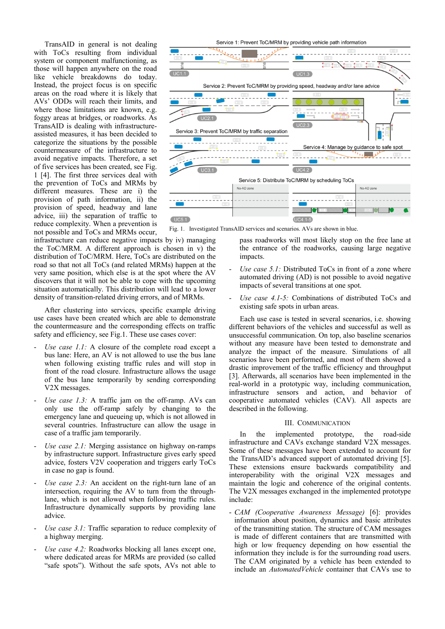TransAID in general is not dealing with ToCs resulting from individual system or component malfunctioning, as those will happen anywhere on the road like vehicle breakdowns do today. Instead, the project focus is on specific areas on the road where it is likely that AVs' ODDs will reach their limits, and where those limitations are known, e.g. foggy areas at bridges, or roadworks. As TransAID is dealing with infrastructureassisted measures, it has been decided to categorize the situations by the possible countermeasure of the infrastructure to avoid negative impacts. Therefore, a set of five services has been created, see Fig. 1 [4]. The first three services deal with the prevention of ToCs and MRMs by different measures. These are i) the provision of path information, ii) the provision of speed, headway and lane advice, iii) the separation of traffic to reduce complexity. When a prevention is not possible and ToCs and MRMs occur,



Fig. 1. Investigated TransAID services and scenarios. AVs are shown in blue.

infrastructure can reduce negative impacts by iv) managing the ToC/MRM. A different approach is chosen in v) the distribution of ToC/MRM. Here, ToCs are distributed on the road so that not all ToCs (and related MRMs) happen at the very same position, which else is at the spot where the AV discovers that it will not be able to cope with the upcoming situation automatically. This distribution will lead to a lower density of transition-related driving errors, and of MRMs.

After clustering into services, specific example driving use cases have been created which are able to demonstrate the countermeasure and the corresponding effects on traffic safety and efficiency, see Fig.1. These use cases cover:

- *Use case 1.1:* A closure of the complete road except a bus lane: Here, an AV is not allowed to use the bus lane when following existing traffic rules and will stop in front of the road closure. Infrastructure allows the usage of the bus lane temporarily by sending corresponding V2X messages.
- *Use case 1.3:* A traffic jam on the off-ramp. AVs can only use the off-ramp safely by changing to the emergency lane and queueing up, which is not allowed in several countries. Infrastructure can allow the usage in case of a traffic jam temporarily.
- *Use case 2.1:* Merging assistance on highway on-ramps by infrastructure support. Infrastructure gives early speed advice, fosters V2V cooperation and triggers early ToCs in case no gap is found.
- *Use case 2.3:* An accident on the right-turn lane of an intersection, requiring the AV to turn from the throughlane, which is not allowed when following traffic rules. Infrastructure dynamically supports by providing lane advice.
- Use case 3.1: Traffic separation to reduce complexity of a highway merging.
- *Use case 4.2:* Roadworks blocking all lanes except one, where dedicated areas for MRMs are provided (so called "safe spots"). Without the safe spots, AVs not able to

pass roadworks will most likely stop on the free lane at the entrance of the roadworks, causing large negative impacts.

- *Use case 5.1:* Distributed ToCs in front of a zone where automated driving (AD) is not possible to avoid negative impacts of several transitions at one spot.
- Use case 4.1-5: Combinations of distributed ToCs and existing safe spots in urban areas.

Each use case is tested in several scenarios, i.e. showing different behaviors of the vehicles and successful as well as unsuccessful communication. On top, also baseline scenarios without any measure have been tested to demonstrate and analyze the impact of the measure. Simulations of all scenarios have been performed, and most of them showed a drastic improvement of the traffic efficiency and throughput [3]. Afterwards, all scenarios have been implemented in the real-world in a prototypic way, including communication, infrastructure sensors and action, and behavior of cooperative automated vehicles (CAV). All aspects are described in the following.

#### III. COMMUNICATION

In the implemented prototype, the road-side infrastructure and CAVs exchange standard V2X messages. Some of these messages have been extended to account for the TransAID's advanced support of automated driving [5]. These extensions ensure backwards compatibility and interoperability with the original V2X messages and maintain the logic and coherence of the original contents. The V2X messages exchanged in the implemented prototype include:

- *CAM (Cooperative Awareness Message)* [6]: provides information about position, dynamics and basic attributes of the transmitting station. The structure of CAM messages is made of different containers that are transmitted with high or low frequency depending on how essential the information they include is for the surrounding road users. The CAM originated by a vehicle has been extended to include an *AutomatedVehicle* container that CAVs use to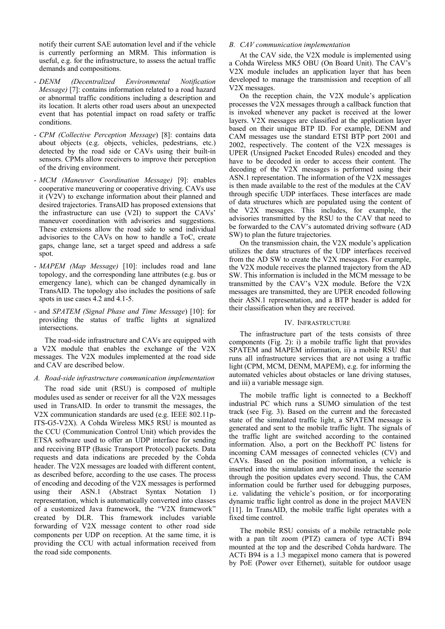notify their current SAE automation level and if the vehicle is currently performing an MRM. This information is useful, e.g. for the infrastructure, to assess the actual traffic demands and compositions.

- *DENM (Decentralized Environmental Notification Message)* [7]: contains information related to a road hazard or abnormal traffic conditions including a description and its location. It alerts other road users about an unexpected event that has potential impact on road safety or traffic conditions.
- *CPM (Collective Perception Message*) [8]: contains data about objects (e.g. objects, vehicles, pedestrians, etc.) detected by the road side or CAVs using their built-in sensors. CPMs allow receivers to improve their perception of the driving environment.
- *MCM (Maneuver Coordination Message)* [9]: enables cooperative maneuvering or cooperative driving. CAVs use it (V2V) to exchange information about their planned and desired trajectories. TransAID has proposed extensions that the infrastructure can use (V2I) to support the CAVs' maneuver coordination with advisories and suggestions. These extensions allow the road side to send individual advisories to the CAVs on how to handle a ToC, create gaps, change lane, set a target speed and address a safe spot.
- *MAPEM (Map Message)* [10]: includes road and lane topology, and the corresponding lane attributes (e.g. bus or emergency lane), which can be changed dynamically in TransAID. The topology also includes the positions of safe spots in use cases 4.2 and 4.1-5.
- and *SPATEM (Signal Phase and Time Message*) [10]: for providing the status of traffic lights at signalized intersections.

The road-side infrastructure and CAVs are equipped with a V2X module that enables the exchange of the V2X messages. The V2X modules implemented at the road side and CAV are described below.

## *A. Road-side infrastructure communication implementation*

The road side unit (RSU) is composed of multiple modules used as sender or receiver for all the V2X messages used in TransAID. In order to transmit the messages, the V2X communication standards are used (e.g. IEEE 802.11p-ITS-G5-V2X). A Cohda Wireless MK5 RSU is mounted as the CCU (Communication Control Unit) which provides the ETSA software used to offer an UDP interface for sending and receiving BTP (Basic Transport Protocol) packets. Data requests and data indications are preceded by the Cohda header. The V2X messages are loaded with different content, as described before, according to the use cases. The process of encoding and decoding of the V2X messages is performed using their ASN.1 (Abstract Syntax Notation 1) representation, which is automatically converted into classes of a customized Java framework, the "V2X framework" created by DLR. This framework includes variable forwarding of V2X message content to other road side components per UDP on reception. At the same time, it is providing the CCU with actual information received from the road side components.

#### *B. CAV communication implementation*

At the CAV side, the V2X module is implemented using a Cohda Wireless MK5 OBU (On Board Unit). The CAV's V2X module includes an application layer that has been developed to manage the transmission and reception of all V2X messages.

On the reception chain, the V2X module's application processes the V2X messages through a callback function that is invoked whenever any packet is received at the lower layers. V2X messages are classified at the application layer based on their unique BTP ID. For example, DENM and CAM messages use the standard ETSI BTP port 2001 and 2002, respectively. The content of the V2X messages is UPER (Unsigned Packet Encoded Rules) encoded and they have to be decoded in order to access their content. The decoding of the V2X messages is performed using their ASN.1 representation. The information of the V2X messages is then made available to the rest of the modules at the CAV through specific UDP interfaces. These interfaces are made of data structures which are populated using the content of the V2X messages. This includes, for example, the advisories transmitted by the RSU to the CAV that need to be forwarded to the CAV's automated driving software (AD SW) to plan the future trajectories.

On the transmission chain, the V2X module's application utilizes the data structures of the UDP interfaces received from the AD SW to create the V2X messages. For example, the V2X module receives the planned trajectory from the AD SW. This information is included in the MCM message to be transmitted by the CAV's V2X module. Before the V2X messages are transmitted, they are UPER encoded following their ASN.1 representation, and a BTP header is added for their classification when they are received.

#### IV. INFRASTRUCTURE

The infrastructure part of the tests consists of three components (Fig. 2): i) a mobile traffic light that provides SPATEM and MAPEM information, ii) a mobile RSU that runs all infrastructure services that are not using a traffic light (CPM, MCM, DENM, MAPEM), e.g. for informing the automated vehicles about obstacles or lane driving statuses, and iii) a variable message sign.

The mobile traffic light is connected to a Beckhoff industrial PC which runs a SUMO simulation of the test track (see Fig. 3). Based on the current and the forecasted state of the simulated traffic light, a SPATEM message is generated and sent to the mobile traffic light. The signals of the traffic light are switched according to the contained information. Also, a port on the Beckhoff PC listens for incoming CAM messages of connected vehicles (CV) and CAVs. Based on the position information, a vehicle is inserted into the simulation and moved inside the scenario through the position updates every second. Thus, the CAM information could be further used for debugging purposes, i.e. validating the vehicle's position, or for incorporating dynamic traffic light control as done in the project MAVEN [11]. In TransAID, the mobile traffic light operates with a fixed time control.

The mobile RSU consists of a mobile retractable pole with a pan tilt zoom (PTZ) camera of type ACTi B94 mounted at the top and the described Cohda hardware. The ACTi B94 is a 1.3 megapixel mono camera that is powered by PoE (Power over Ethernet), suitable for outdoor usage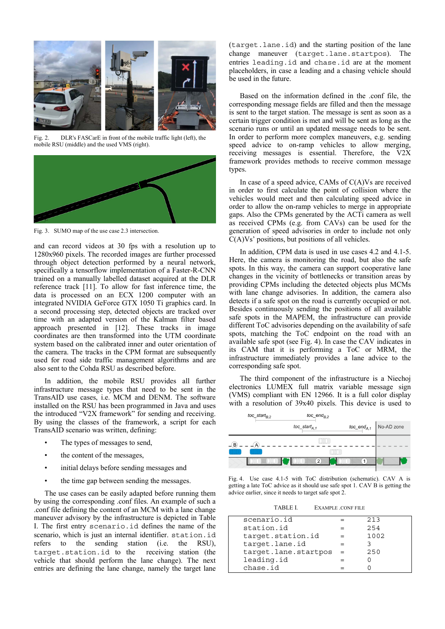

Fig. 2. DLR's FASCarE in front of the mobile traffic light (left), the mobile RSU (middle) and the used VMS (right).



Fig. 3. SUMO map of the use case 2.3 intersection.

and can record videos at 30 fps with a resolution up to 1280x960 pixels. The recorded images are further processed through object detection performed by a neural network, specifically a tensorflow implementation of a Faster-R-CNN trained on a manually labelled dataset acquired at the DLR reference track [11]. To allow for fast inference time, the data is processed on an ECX 1200 computer with an integrated NVIDIA GeForce GTX 1050 Ti graphics card. In a second processing step, detected objects are tracked over time with an adapted version of the Kalman filter based approach presented in [12]. These tracks in image coordinates are then transformed into the UTM coordinate system based on the calibrated inner and outer orientation of the camera. The tracks in the CPM format are subsequently used for road side traffic management algorithms and are also sent to the Cohda RSU as described before.

In addition, the mobile RSU provides all further infrastructure message types that need to be sent in the TransAID use cases, i.e. MCM and DENM. The software installed on the RSU has been programmed in Java and uses the introduced "V2X framework" for sending and receiving. By using the classes of the framework, a script for each TransAID scenario was written, defining:

- The types of messages to send,
- the content of the messages.
- initial delays before sending messages and
- the time gap between sending the messages.

The use cases can be easily adapted before running them by using the corresponding .conf files. An example of such a .conf file defining the content of an MCM with a lane change maneuver advisory by the infrastructure is depicted in Table I. The first entry scenario.id defines the name of the scenario, which is just an internal identifier. station.id refers to the sending station (i.e. the RSU), target.station.id to the receiving station (the vehicle that should perform the lane change). The next entries are defining the lane change, namely the target lane

(target.lane.id) and the starting position of the lane change maneuver (target.lane.startpos). The entries leading.id and chase.id are at the moment placeholders, in case a leading and a chasing vehicle should be used in the future.

Based on the information defined in the .conf file, the corresponding message fields are filled and then the message is sent to the target station. The message is sent as soon as a certain trigger condition is met and will be sent as long as the scenario runs or until an updated message needs to be sent. In order to perform more complex maneuvers, e.g. sending speed advice to on-ramp vehicles to allow merging, receiving messages is essential. Therefore, the V2X framework provides methods to receive common message types.

In case of a speed advice, CAMs of  $C(A)V_s$  are received in order to first calculate the point of collision where the vehicles would meet and then calculating speed advice in order to allow the on-ramp vehicles to merge in appropriate gaps. Also the CPMs generated by the ACTi camera as well as received CPMs (e.g. from CAVs) can be used for the generation of speed advisories in order to include not only  $C(A)Vs'$  positions, but positions of all vehicles.

In addition, CPM data is used in use cases 4.2 and 4.1-5. Here, the camera is monitoring the road, but also the safe spots. In this way, the camera can support cooperative lane changes in the vicinity of bottlenecks or transition areas by providing CPMs including the detected objects plus MCMs with lane change advisories. In addition, the camera also detects if a safe spot on the road is currently occupied or not. Besides continuously sending the positions of all available safe spots in the MAPEM, the infrastructure can provide different ToC advisories depending on the availability of safe spots, matching the ToC endpoint on the road with an available safe spot (see Fig. 4). In case the CAV indicates in its CAM that it is performing a ToC or MRM, the infrastructure immediately provides a lane advice to the corresponding safe spot.

The third component of the infrastructure is a Niechoj electronics LUMEX full matrix variable message sign (VMS) compliant with EN 12966. It is a full color display with a resolution of 39x40 pixels. This device is used to



Fig. 4. Use case 4.1-5 with ToC distribution (schematic). CAV A is getting a late ToC advice as it should use safe spot 1. CAV B is getting the advice earlier, since it needs to target safe spot 2.

| scenario.id          |     | 213  |  |
|----------------------|-----|------|--|
| station.id           |     | 254  |  |
| target.station.id    |     | 1002 |  |
| target.lane.id       |     |      |  |
| target.lane.startpos | $=$ | 250  |  |
| leading.id           |     |      |  |
| chase.id             |     |      |  |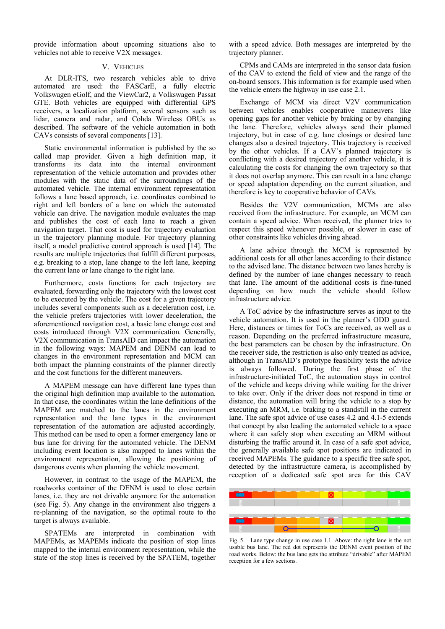provide information about upcoming situations also to vehicles not able to receive V2X messages.

#### V. VEHICLES

At DLR-ITS, two research vehicles able to drive automated are used: the FASCarE, a fully electric Volkswagen eGolf, and the ViewCar2, a Volkswagen Passat GTE. Both vehicles are equipped with differential GPS receivers, a localization platform, several sensors such as lidar, camera and radar, and Cohda Wireless OBUs as described. The software of the vehicle automation in both CAVs consists of several components [13].

Static environmental information is published by the so called map provider. Given a high definition map, it transforms its data into the internal environment representation of the vehicle automation and provides other modules with the static data of the surroundings of the automated vehicle. The internal environment representation follows a lane based approach, i.e. coordinates combined to right and left borders of a lane on which the automated vehicle can drive. The navigation module evaluates the map and publishes the cost of each lane to reach a given navigation target. That cost is used for trajectory evaluation in the trajectory planning module. For trajectory planning itself, a model predictive control approach is used [14]. The results are multiple trajectories that fulfill different purposes, e.g. breaking to a stop, lane change to the left lane, keeping the current lane or lane change to the right lane.

Furthermore, costs functions for each trajectory are evaluated, forwarding only the trajectory with the lowest cost to be executed by the vehicle. The cost for a given trajectory includes several components such as a deceleration cost, i.e. the vehicle prefers trajectories with lower deceleration, the aforementioned navigation cost, a basic lane change cost and costs introduced through V2X communication. Generally, V2X communication in TransAID can impact the automation in the following ways: MAPEM and DENM can lead to changes in the environment representation and MCM can both impact the planning constraints of the planner directly and the cost functions for the different maneuvers.

A MAPEM message can have different lane types than the original high definition map available to the automation. In that case, the coordinates within the lane definitions of the MAPEM are matched to the lanes in the environment representation and the lane types in the environment representation of the automation are adjusted accordingly. This method can be used to open a former emergency lane or bus lane for driving for the automated vehicle. The DENM including event location is also mapped to lanes within the environment representation, allowing the positioning of dangerous events when planning the vehicle movement.

However, in contrast to the usage of the MAPEM, the roadworks container of the DENM is used to close certain lanes, i.e. they are not drivable anymore for the automation (see Fig. 5). Any change in the environment also triggers a re-planning of the navigation, so the optimal route to the target is always available.

SPATEMs are interpreted in combination with MAPEMs, as MAPEMs indicate the position of stop lines mapped to the internal environment representation, while the state of the stop lines is received by the SPATEM, together

with a speed advice. Both messages are interpreted by the trajectory planner.

CPMs and CAMs are interpreted in the sensor data fusion of the CAV to extend the field of view and the range of the on-board sensors. This information is for example used when the vehicle enters the highway in use case 2.1.

Exchange of MCM via direct V2V communication between vehicles enables cooperative maneuvers like opening gaps for another vehicle by braking or by changing the lane. Therefore, vehicles always send their planned trajectory, but in case of e.g. lane closings or desired lane changes also a desired trajectory. This trajectory is received by the other vehicles. If a CAV's planned trajectory is conflicting with a desired trajectory of another vehicle, it is calculating the costs for changing the own trajectory so that it does not overlap anymore. This can result in a lane change or speed adaptation depending on the current situation, and therefore is key to cooperative behavior of CAVs.

Besides the V2V communication, MCMs are also received from the infrastructure. For example, an MCM can contain a speed advice. When received, the planner tries to respect this speed whenever possible, or slower in case of other constraints like vehicles driving ahead.

A lane advice through the MCM is represented by additional costs for all other lanes according to their distance to the advised lane. The distance between two lanes hereby is defined by the number of lane changes necessary to reach that lane. The amount of the additional costs is fine-tuned depending on how much the vehicle should follow infrastructure advice.

A ToC advice by the infrastructure serves as input to the vehicle automation. It is used in the planner's ODD guard. Here, distances or times for ToCs are received, as well as a reason. Depending on the preferred infrastructure measure, the best parameters can be chosen by the infrastructure. On the receiver side, the restriction is also only treated as advice, although in TransAID's prototype feasibility tests the advice is always followed. During the first phase of the infrastructure-initiated ToC, the automation stays in control of the vehicle and keeps driving while waiting for the driver to take over. Only if the driver does not respond in time or distance, the automation will bring the vehicle to a stop by executing an MRM, i.e. braking to a standstill in the current lane. The safe spot advice of use cases 4.2 and 4.1-5 extends that concept by also leading the automated vehicle to a space where it can safely stop when executing an MRM without disturbing the traffic around it. In case of a safe spot advice, the generally available safe spot positions are indicated in received MAPEMs. The guidance to a specific free safe spot, detected by the infrastructure camera, is accomplished by reception of a dedicated safe spot area for this CAV



Fig. 5. Lane type change in use case 1.1. Above: the right lane is the not usable bus lane. The red dot represents the DENM event position of the road works. Below: the bus lane gets the attribute "drivable" after MAPEM reception for a few sections.